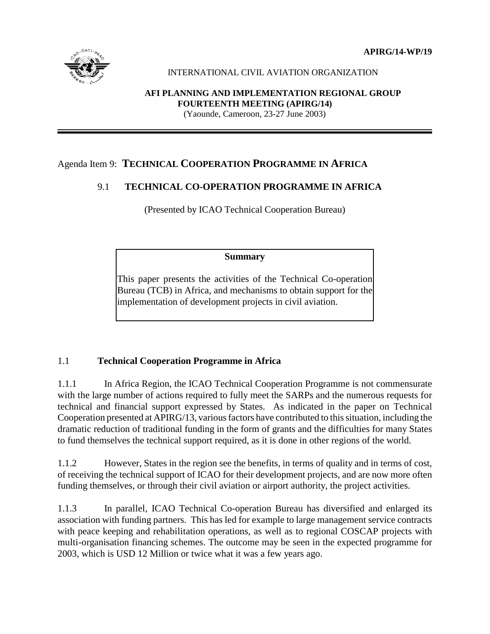**APIRG/14-WP/19**



#### INTERNATIONAL CIVIL AVIATION ORGANIZATION

# **AFI PLANNING AND IMPLEMENTATION REGIONAL GROUP FOURTEENTH MEETING (APIRG/14)**

(Yaounde, Cameroon, 23-27 June 2003)

# Agenda Item 9: **TECHNICAL COOPERATION PROGRAMME IN AFRICA**

# 9.1 **TECHNICAL CO-OPERATION PROGRAMME IN AFRICA**

(Presented by ICAO Technical Cooperation Bureau)

#### **Summary**

This paper presents the activities of the Technical Co-operation Bureau (TCB) in Africa, and mechanisms to obtain support for the implementation of development projects in civil aviation.

# 1.1 **Technical Cooperation Programme in Africa**

1.1.1 In Africa Region, the ICAO Technical Cooperation Programme is not commensurate with the large number of actions required to fully meet the SARPs and the numerous requests for technical and financial support expressed by States. As indicated in the paper on Technical Cooperation presented at APIRG/13, various factors have contributed to this situation, including the dramatic reduction of traditional funding in the form of grants and the difficulties for many States to fund themselves the technical support required, as it is done in other regions of the world.

1.1.2 However, States in the region see the benefits, in terms of quality and in terms of cost, of receiving the technical support of ICAO for their development projects, and are now more often funding themselves, or through their civil aviation or airport authority, the project activities.

1.1.3 In parallel, ICAO Technical Co-operation Bureau has diversified and enlarged its association with funding partners. This has led for example to large management service contracts with peace keeping and rehabilitation operations, as well as to regional COSCAP projects with multi-organisation financing schemes. The outcome may be seen in the expected programme for 2003, which is USD 12 Million or twice what it was a few years ago.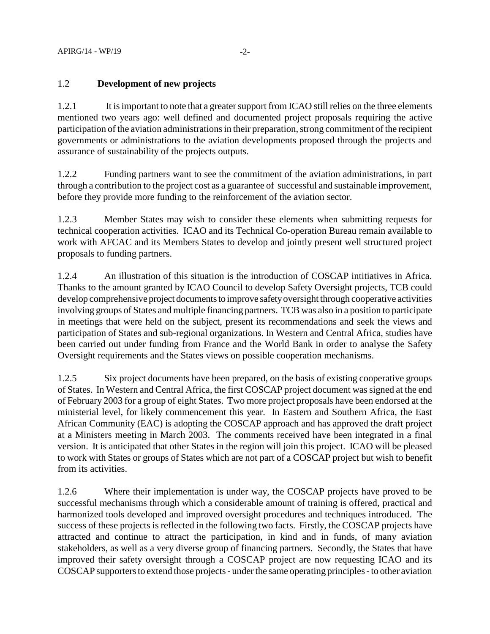# 1.2 **Development of new projects**

1.2.1 It is important to note that a greater support from ICAO still relies on the three elements mentioned two years ago: well defined and documented project proposals requiring the active participation of the aviation administrations in their preparation, strong commitment of the recipient governments or administrations to the aviation developments proposed through the projects and assurance of sustainability of the projects outputs.

1.2.2 Funding partners want to see the commitment of the aviation administrations, in part through a contribution to the project cost as a guarantee of successful and sustainable improvement, before they provide more funding to the reinforcement of the aviation sector.

1.2.3 Member States may wish to consider these elements when submitting requests for technical cooperation activities. ICAO and its Technical Co-operation Bureau remain available to work with AFCAC and its Members States to develop and jointly present well structured project proposals to funding partners.

1.2.4 An illustration of this situation is the introduction of COSCAP intitiatives in Africa. Thanks to the amount granted by ICAO Council to develop Safety Oversight projects, TCB could develop comprehensive project documents to improve safety oversight through cooperative activities involving groups of States and multiple financing partners. TCB was also in a position to participate in meetings that were held on the subject, present its recommendations and seek the views and participation of States and sub-regional organizations. In Western and Central Africa, studies have been carried out under funding from France and the World Bank in order to analyse the Safety Oversight requirements and the States views on possible cooperation mechanisms.

1.2.5 Six project documents have been prepared, on the basis of existing cooperative groups of States. In Western and Central Africa, the first COSCAP project document was signed at the end of February 2003 for a group of eight States. Two more project proposals have been endorsed at the ministerial level, for likely commencement this year. In Eastern and Southern Africa, the East African Community (EAC) is adopting the COSCAP approach and has approved the draft project at a Ministers meeting in March 2003. The comments received have been integrated in a final version. It is anticipated that other States in the region will join this project. ICAO will be pleased to work with States or groups of States which are not part of a COSCAP project but wish to benefit from its activities.

1.2.6 Where their implementation is under way, the COSCAP projects have proved to be successful mechanisms through which a considerable amount of training is offered, practical and harmonized tools developed and improved oversight procedures and techniques introduced. The success of these projects is reflected in the following two facts. Firstly, the COSCAP projects have attracted and continue to attract the participation, in kind and in funds, of many aviation stakeholders, as well as a very diverse group of financing partners. Secondly, the States that have improved their safety oversight through a COSCAP project are now requesting ICAO and its COSCAP supporters to extend those projects - under the same operating principles - to other aviation